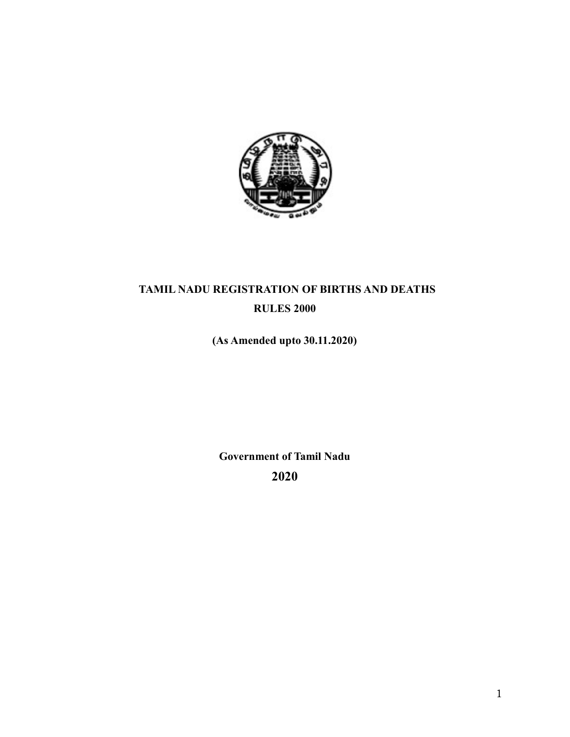

# TAMIL NADU REGISTRATION OF BIRTHS AND DEATHS RULES 2000

(As Amended upto 30.11.2020)

Government of Tamil Nadu 2020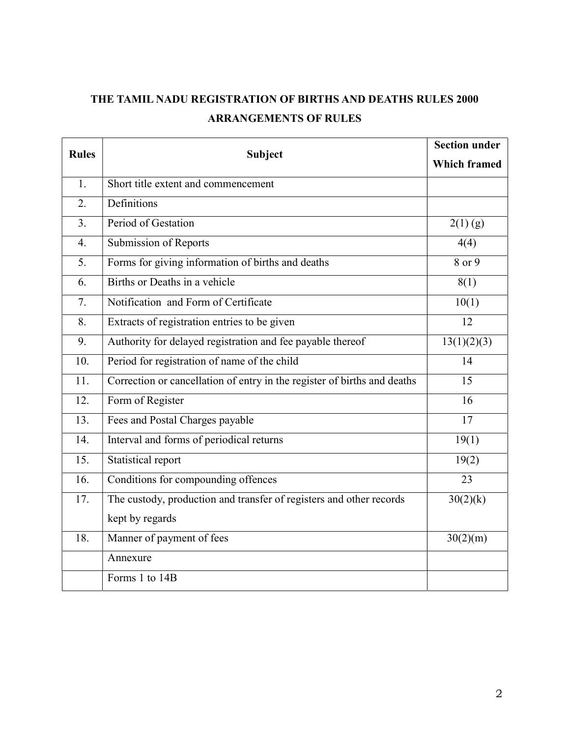# THE TAMIL NADU REGISTRATION OF BIRTHS AND DEATHS RULES 2000 ARRANGEMENTS OF RULES

| <b>Rules</b> | <b>Subject</b>                                                           | <b>Section under</b> |
|--------------|--------------------------------------------------------------------------|----------------------|
|              |                                                                          | <b>Which framed</b>  |
| 1.           | Short title extent and commencement                                      |                      |
| 2.           | Definitions                                                              |                      |
| 3.           | Period of Gestation                                                      | $2(1)$ (g)           |
| 4.           | Submission of Reports                                                    | 4(4)                 |
| 5.           | Forms for giving information of births and deaths                        | 8 or 9               |
| 6.           | Births or Deaths in a vehicle                                            | 8(1)                 |
| 7.           | Notification and Form of Certificate                                     | 10(1)                |
| 8.           | Extracts of registration entries to be given                             | 12                   |
| 9.           | Authority for delayed registration and fee payable thereof               | 13(1)(2)(3)          |
| 10.          | Period for registration of name of the child                             | 14                   |
| 11.          | Correction or cancellation of entry in the register of births and deaths | 15                   |
| 12.          | Form of Register                                                         | 16                   |
| 13.          | Fees and Postal Charges payable                                          | 17                   |
| 14.          | Interval and forms of periodical returns                                 | 19(1)                |
| 15.          | Statistical report                                                       | 19(2)                |
| 16.          | Conditions for compounding offences                                      | 23                   |
| 17.          | The custody, production and transfer of registers and other records      | 30(2)(k)             |
|              | kept by regards                                                          |                      |
| 18.          | Manner of payment of fees                                                | 30(2)(m)             |
|              | Annexure                                                                 |                      |
|              | Forms 1 to 14B                                                           |                      |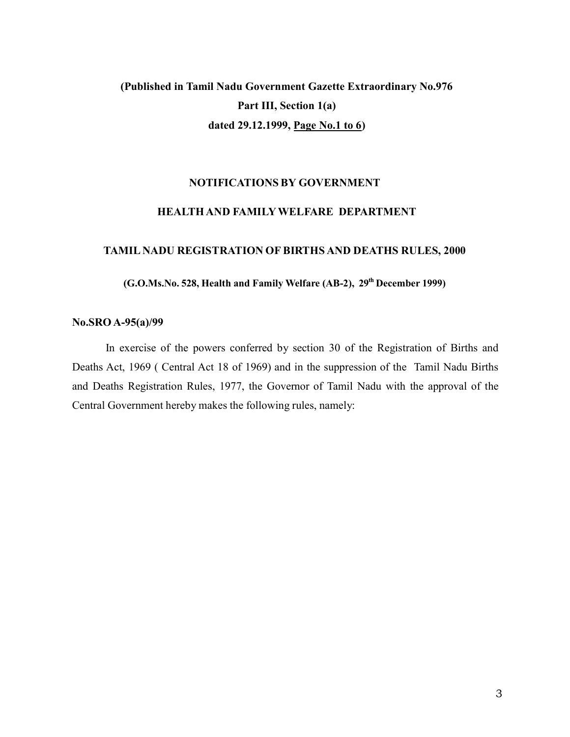# (Published in Tamil Nadu Government Gazette Extraordinary No.976 Part III, Section 1(a) dated 29.12.1999, Page No.1 to 6)

### NOTIFICATIONS BY GOVERNMENT

### HEALTH AND FAMILY WELFARE DEPARTMENT

### TAMIL NADU REGISTRATION OF BIRTHS AND DEATHS RULES, 2000

 $(G.O.Ms.No. 528, Health and Family Welfare (AB-2), 29<sup>th</sup> December 1999)$ 

#### No.SRO A-95(a)/99

In exercise of the powers conferred by section 30 of the Registration of Births and Deaths Act, 1969 ( Central Act 18 of 1969) and in the suppression of the Tamil Nadu Births and Deaths Registration Rules, 1977, the Governor of Tamil Nadu with the approval of the Central Government hereby makes the following rules, namely: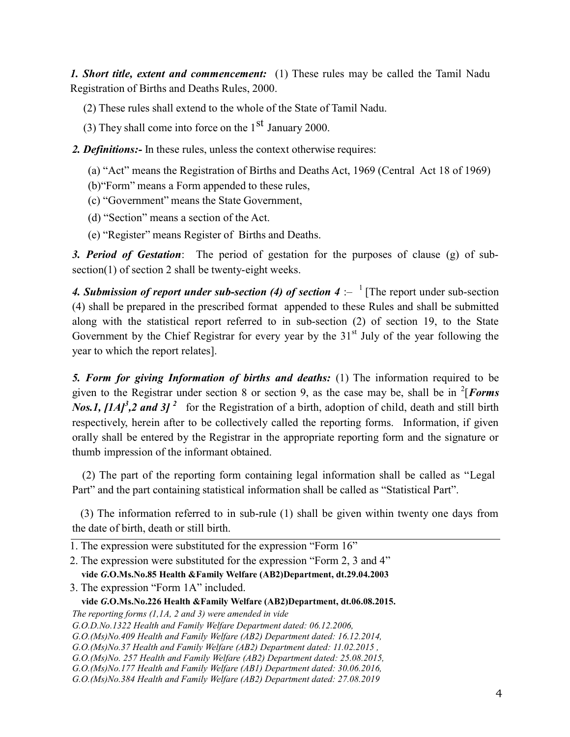1. Short title, extent and commencement: (1) These rules may be called the Tamil Nadu Registration of Births and Deaths Rules, 2000.

(2) These rules shall extend to the whole of the State of Tamil Nadu.

(3) They shall come into force on the  $1<sup>st</sup>$  January 2000.

2. Definitions:- In these rules, unless the context otherwise requires:

(a) "Act" means the Registration of Births and Deaths Act, 1969 (Central Act 18 of 1969)

(b)"Form" means a Form appended to these rules,

- (c) "Government" means the State Government,
- (d) "Section" means a section of the Act.
- (e) "Register" means Register of Births and Deaths.

3. Period of Gestation: The period of gestation for the purposes of clause (g) of subsection(1) of section 2 shall be twenty-eight weeks.

4. Submission of report under sub-section (4) of section  $4:$   $^{-1}$  [The report under sub-section (4) shall be prepared in the prescribed format appended to these Rules and shall be submitted along with the statistical report referred to in sub-section (2) of section 19, to the State Government by the Chief Registrar for every year by the  $31<sup>st</sup>$  July of the year following the year to which the report relates].

5. Form for giving Information of births and deaths: (1) The information required to be given to the Registrar under section 8 or section 9, as the case may be, shall be in  $^{2}[Forms]$ Nos.1, [1A]<sup>3</sup>,2 and 3]<sup>2</sup> for the Registration of a birth, adoption of child, death and still birth respectively, herein after to be collectively called the reporting forms. Information, if given orally shall be entered by the Registrar in the appropriate reporting form and the signature or thumb impression of the informant obtained.

(2) The part of the reporting form containing legal information shall be called as "Legal Part" and the part containing statistical information shall be called as "Statistical Part".

(3) The information referred to in sub-rule (1) shall be given within twenty one days from the date of birth, death or still birth.

1. The expression were substituted for the expression "Form 16"

 2. The expression were substituted for the expression "Form 2, 3 and 4" vide G.O.Ms.No.85 Health &Family Welfare (AB2)Department, dt.29.04.2003

3. The expression "Form 1A" included.

vide G.O.Ms.No.226 Health &Family Welfare (AB2)Department, dt.06.08.2015.

The reporting forms  $(1,1A, 2 \text{ and } 3)$  were amended in vide

G.O.(Ms)No.177 Health and Family Welfare (AB1) Department dated: 30.06.2016,

G.O.D.No.1322 Health and Family Welfare Department dated: 06.12.2006,

G.O.(Ms)No.409 Health and Family Welfare (AB2) Department dated: 16.12.2014,

G.O.(Ms)No.37 Health and Family Welfare (AB2) Department dated: 11.02.2015 ,

G.O.(Ms)No. 257 Health and Family Welfare (AB2) Department dated: 25.08.2015,

G.O.(Ms)No.384 Health and Family Welfare (AB2) Department dated: 27.08.2019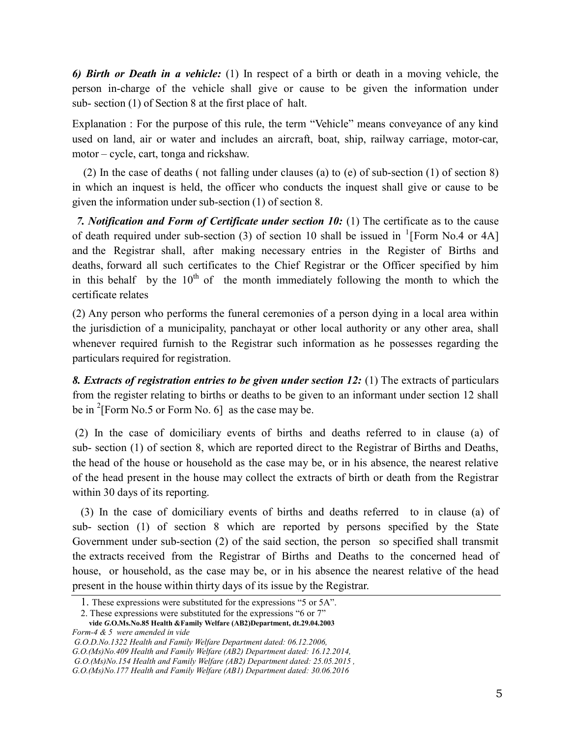6) Birth or Death in a vehicle: (1) In respect of a birth or death in a moving vehicle, the person in-charge of the vehicle shall give or cause to be given the information under sub- section (1) of Section 8 at the first place of halt.

Explanation : For the purpose of this rule, the term "Vehicle" means conveyance of any kind used on land, air or water and includes an aircraft, boat, ship, railway carriage, motor-car, motor – cycle, cart, tonga and rickshaw.

(2) In the case of deaths ( not falling under clauses (a) to (e) of sub-section (1) of section 8) in which an inquest is held, the officer who conducts the inquest shall give or cause to be given the information under sub-section (1) of section 8.

7. Notification and Form of Certificate under section  $10: (1)$  The certificate as to the cause of death required under sub-section (3) of section 10 shall be issued in <sup>1</sup>[Form No.4 or 4A] and the Registrar shall, after making necessary entries in the Register of Births and deaths, forward all such certificates to the Chief Registrar or the Officer specified by him in this behalf by the  $10<sup>th</sup>$  of the month immediately following the month to which the certificate relates

(2) Any person who performs the funeral ceremonies of a person dying in a local area within the jurisdiction of a municipality, panchayat or other local authority or any other area, shall whenever required furnish to the Registrar such information as he possesses regarding the particulars required for registration.

8. Extracts of registration entries to be given under section 12: (1) The extracts of particulars from the register relating to births or deaths to be given to an informant under section 12 shall be in  $^{2}$ [Form No.5 or Form No. 6] as the case may be.

 (2) In the case of domiciliary events of births and deaths referred to in clause (a) of sub- section (1) of section 8, which are reported direct to the Registrar of Births and Deaths, the head of the house or household as the case may be, or in his absence, the nearest relative of the head present in the house may collect the extracts of birth or death from the Registrar within 30 days of its reporting.

(3) In the case of domiciliary events of births and deaths referred to in clause (a) of sub- section (1) of section 8 which are reported by persons specified by the State Government under sub-section (2) of the said section, the person so specified shall transmit the extracts received from the Registrar of Births and Deaths to the concerned head of house, or household, as the case may be, or in his absence the nearest relative of the head present in the house within thirty days of its issue by the Registrar.

<sup>1.</sup> These expressions were substituted for the expressions "5 or 5A".

<sup>2.</sup> These expressions were substituted for the expressions "6 or 7"

vide G.O.Ms.No.85 Health &Family Welfare (AB2)Department, dt.29.04.2003 Form-4 & 5 were amended in vide

G.O.D.No.1322 Health and Family Welfare Department dated: 06.12.2006,

G.O.(Ms)No.409 Health and Family Welfare (AB2) Department dated: 16.12.2014,

G.O.(Ms)No.154 Health and Family Welfare (AB2) Department dated: 25.05.2015 ,

G.O.(Ms)No.177 Health and Family Welfare (AB1) Department dated: 30.06.2016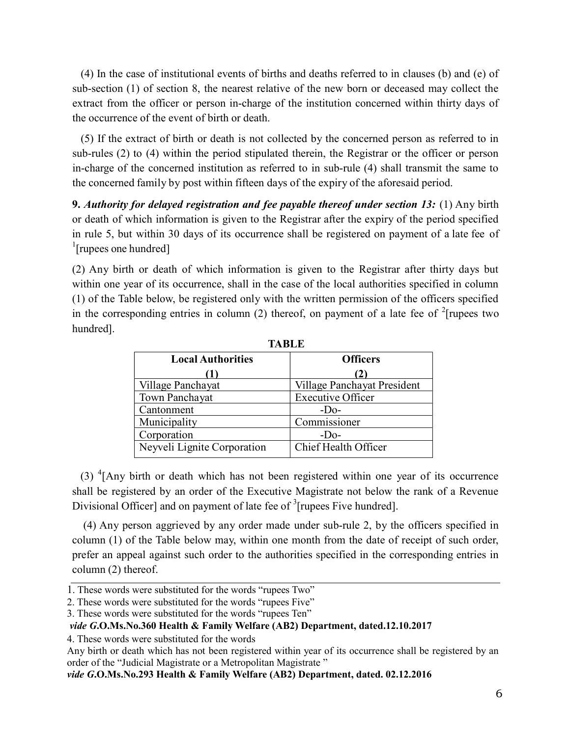(4) In the case of institutional events of births and deaths referred to in clauses (b) and (e) of sub-section (1) of section 8, the nearest relative of the new born or deceased may collect the extract from the officer or person in-charge of the institution concerned within thirty days of the occurrence of the event of birth or death.

 (5) If the extract of birth or death is not collected by the concerned person as referred to in sub-rules (2) to (4) within the period stipulated therein, the Registrar or the officer or person in-charge of the concerned institution as referred to in sub-rule (4) shall transmit the same to the concerned family by post within fifteen days of the expiry of the aforesaid period.

9. Authority for delayed registration and fee payable thereof under section 13: (1) Any birth or death of which information is given to the Registrar after the expiry of the period specified in rule 5, but within 30 days of its occurrence shall be registered on payment of a late fee of <sup>1</sup>[rupees one hundred]

(2) Any birth or death of which information is given to the Registrar after thirty days but within one year of its occurrence, shall in the case of the local authorities specified in column (1) of the Table below, be registered only with the written permission of the officers specified in the corresponding entries in column (2) thereof, on payment of a late fee of  $2$ [rupees two hundred].

| <b>Local Authorities</b>    | <b>Officers</b>             |
|-----------------------------|-----------------------------|
|                             |                             |
| Village Panchayat           | Village Panchayat President |
| Town Panchayat              | <b>Executive Officer</b>    |
| Cantonment                  | $-DO$                       |
| Municipality                | Commissioner                |
| Corporation                 | $-D0$                       |
| Neyveli Lignite Corporation | Chief Health Officer        |
|                             |                             |

TABLE **TABLE** 

(3)  $\rm{^{4}[Any\,birth\,$  or death which has not been registered within one year of its occurrence shall be registered by an order of the Executive Magistrate not below the rank of a Revenue Divisional Officer] and on payment of late fee of  $\frac{3}{7}$ [rupees Five hundred].

 (4) Any person aggrieved by any order made under sub-rule 2, by the officers specified in column (1) of the Table below may, within one month from the date of receipt of such order, prefer an appeal against such order to the authorities specified in the corresponding entries in column (2) thereof.

#### vide G.O.Ms.No.360 Health & Family Welfare (AB2) Department, dated.12.10.2017

4. These words were substituted for the words

Any birth or death which has not been registered within year of its occurrence shall be registered by an order of the "Judicial Magistrate or a Metropolitan Magistrate "

vide G.O.Ms.No.293 Health & Family Welfare (AB2) Department, dated. 02.12.2016

<sup>1</sup>. These words were substituted for the words "rupees Two"

<sup>2.</sup> These words were substituted for the words "rupees Five"

<sup>3.</sup> These words were substituted for the words "rupees Ten"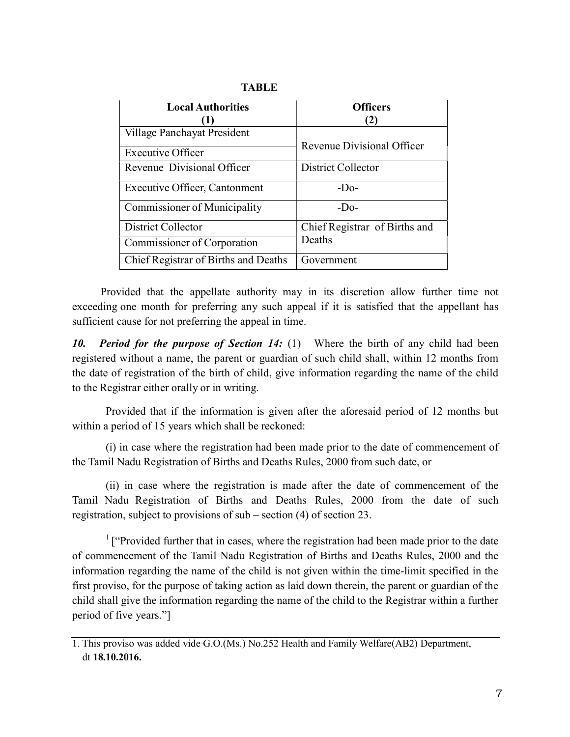| <b>Local Authorities</b>             | <b>Officers</b>               |
|--------------------------------------|-------------------------------|
|                                      | [2]                           |
| Village Panchayat President          |                               |
| <b>Executive Officer</b>             | Revenue Divisional Officer    |
| Revenue Divisional Officer           | District Collector            |
| <b>Executive Officer, Cantonment</b> | $-DO$                         |
| Commissioner of Municipality         | $-DO$                         |
| District Collector                   | Chief Registrar of Births and |
| Commissioner of Corporation          | Deaths                        |
| Chief Registrar of Births and Deaths | Government                    |

TABLE

Provided that the appellate authority may in its discretion allow further time not exceeding one month for preferring any such appeal if it is satisfied that the appellant has sufficient cause for not preferring the appeal in time.

10. Period for the purpose of Section 14: (1) Where the birth of any child had been registered without a name, the parent or guardian of such child shall, within 12 months from the date of registration of the birth of child, give information regarding the name of the child to the Registrar either orally or in writing.

Provided that if the information is given after the aforesaid period of 12 months but within a period of 15 years which shall be reckoned:

(i) in case where the registration had been made prior to the date of commencement of the Tamil Nadu Registration of Births and Deaths Rules, 2000 from such date, or

(ii) in case where the registration is made after the date of commencement of the Tamil Nadu Registration of Births and Deaths Rules, 2000 from the date of such registration, subject to provisions of sub – section (4) of section 23.

<sup>1</sup> ["Provided further that in cases, where the registration had been made prior to the date of commencement of the Tamil Nadu Registration of Births and Deaths Rules, 2000 and the information regarding the name of the child is not given within the time-limit specified in the first proviso, for the purpose of taking action as laid down therein, the parent or guardian of the child shall give the information regarding the name of the child to the Registrar within a further period of five years."]

<sup>1.</sup> This proviso was added vide G.O.(Ms.) No.252 Health and Family Welfare(AB2) Department, dt 18.10.2016.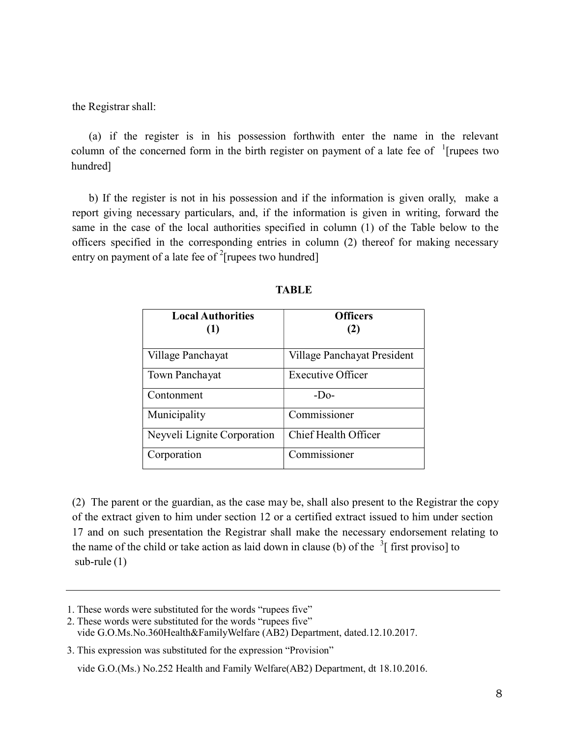the Registrar shall:

(a) if the register is in his possession forthwith enter the name in the relevant column of the concerned form in the birth register on payment of a late fee of  $\frac{1}{2}$  [rupees two hundred]

b) If the register is not in his possession and if the information is given orally, make a report giving necessary particulars, and, if the information is given in writing, forward the same in the case of the local authorities specified in column (1) of the Table below to the officers specified in the corresponding entries in column (2) thereof for making necessary entry on payment of a late fee of  $2$ [rupees two hundred]

| <b>Local Authorities</b>    | <b>Officers</b><br>(2)      |
|-----------------------------|-----------------------------|
|                             |                             |
| Village Panchayat           | Village Panchayat President |
| Town Panchayat              | <b>Executive Officer</b>    |
| Contonment                  | $-Do$ -                     |
| Municipality                | Commissioner                |
| Neyveli Lignite Corporation | Chief Health Officer        |
| Corporation                 | Commissioner                |

| <b>TABLE</b> |  |
|--------------|--|
|--------------|--|

(2) The parent or the guardian, as the case may be, shall also present to the Registrar the copy of the extract given to him under section 12 or a certified extract issued to him under section 17 and on such presentation the Registrar shall make the necessary endorsement relating to the name of the child or take action as laid down in clause (b) of the  $3$ [ first proviso] to sub-rule (1)

<sup>1.</sup> These words were substituted for the words "rupees five"

<sup>2.</sup> These words were substituted for the words "rupees five" vide G.O.Ms.No.360Health&FamilyWelfare (AB2) Department, dated.12.10.2017.

<sup>3.</sup> This expression was substituted for the expression "Provision"

vide G.O.(Ms.) No.252 Health and Family Welfare(AB2) Department, dt 18.10.2016.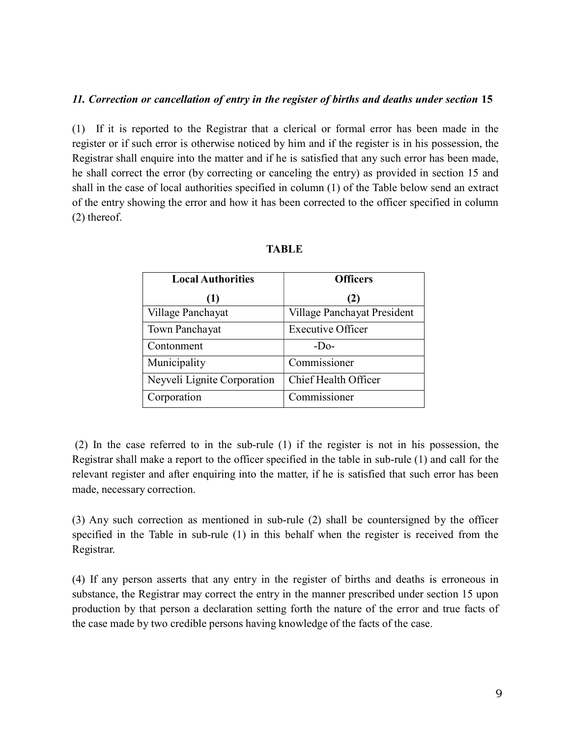### 11. Correction or cancellation of entry in the register of births and deaths under section 15

(1) If it is reported to the Registrar that a clerical or formal error has been made in the register or if such error is otherwise noticed by him and if the register is in his possession, the Registrar shall enquire into the matter and if he is satisfied that any such error has been made, he shall correct the error (by correcting or canceling the entry) as provided in section 15 and shall in the case of local authorities specified in column (1) of the Table below send an extract of the entry showing the error and how it has been corrected to the officer specified in column (2) thereof.

| <b>Local Authorities</b>    | <b>Officers</b>             |
|-----------------------------|-----------------------------|
| $\mathbf{(1)}$              | 2)                          |
| Village Panchayat           | Village Panchayat President |
| Town Panchayat              | <b>Executive Officer</b>    |
| Contonment                  | $-Do-$                      |
| Municipality                | Commissioner                |
| Neyveli Lignite Corporation | Chief Health Officer        |
| Corporation                 | Commissioner                |

(2) In the case referred to in the sub-rule (1) if the register is not in his possession, the Registrar shall make a report to the officer specified in the table in sub-rule (1) and call for the relevant register and after enquiring into the matter, if he is satisfied that such error has been made, necessary correction.

(3) Any such correction as mentioned in sub-rule (2) shall be countersigned by the officer specified in the Table in sub-rule (1) in this behalf when the register is received from the Registrar.

(4) If any person asserts that any entry in the register of births and deaths is erroneous in substance, the Registrar may correct the entry in the manner prescribed under section 15 upon production by that person a declaration setting forth the nature of the error and true facts of the case made by two credible persons having knowledge of the facts of the case.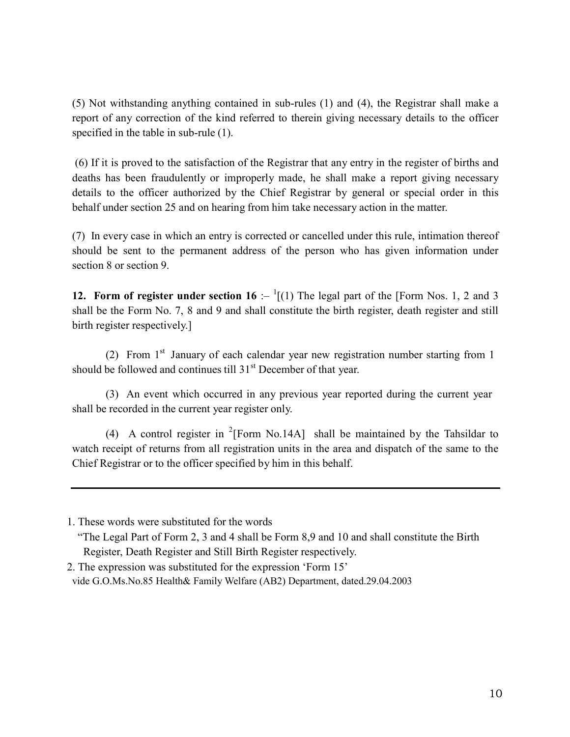(5) Not withstanding anything contained in sub-rules (1) and (4), the Registrar shall make a report of any correction of the kind referred to therein giving necessary details to the officer specified in the table in sub-rule (1).

(6) If it is proved to the satisfaction of the Registrar that any entry in the register of births and deaths has been fraudulently or improperly made, he shall make a report giving necessary details to the officer authorized by the Chief Registrar by general or special order in this behalf under section 25 and on hearing from him take necessary action in the matter.

(7) In every case in which an entry is corrected or cancelled under this rule, intimation thereof should be sent to the permanent address of the person who has given information under section 8 or section 9.

12. Form of register under section  $16 - 1/(1)$  The legal part of the [Form Nos. 1, 2 and 3 shall be the Form No. 7, 8 and 9 and shall constitute the birth register, death register and still birth register respectively.]

(2) From  $1<sup>st</sup>$  January of each calendar year new registration number starting from 1 should be followed and continues till  $31<sup>st</sup>$  December of that year.

(3) An event which occurred in any previous year reported during the current year shall be recorded in the current year register only.

(4) A control register in <sup>2</sup>[Form No.14A] shall be maintained by the Tahsildar to watch receipt of returns from all registration units in the area and dispatch of the same to the Chief Registrar or to the officer specified by him in this behalf.

2. The expression was substituted for the expression 'Form 15'

<sup>1.</sup> These words were substituted for the words

 <sup>&</sup>quot;The Legal Part of Form 2, 3 and 4 shall be Form 8,9 and 10 and shall constitute the Birth Register, Death Register and Still Birth Register respectively.

vide G.O.Ms.No.85 Health& Family Welfare (AB2) Department, dated.29.04.2003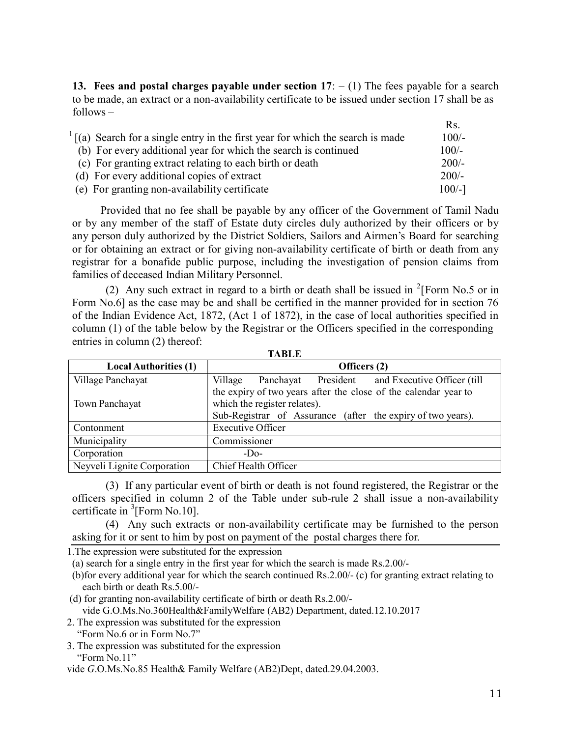13. Fees and postal charges payable under section  $17: - (1)$  The fees payable for a search to be made, an extract or a non-availability certificate to be issued under section 17 shall be as follows –

|                                                                                            | Rs.       |
|--------------------------------------------------------------------------------------------|-----------|
| $\frac{1}{1}$ (a) Search for a single entry in the first year for which the search is made | $100/-$   |
| (b) For every additional year for which the search is continued                            | $100/-$   |
| (c) For granting extract relating to each birth or death                                   | $200/-$   |
| (d) For every additional copies of extract                                                 | $200/-$   |
| (e) For granting non-availability certificate                                              | $100/-$ ] |

Provided that no fee shall be payable by any officer of the Government of Tamil Nadu or by any member of the staff of Estate duty circles duly authorized by their officers or by any person duly authorized by the District Soldiers, Sailors and Airmen's Board for searching or for obtaining an extract or for giving non-availability certificate of birth or death from any registrar for a bonafide public purpose, including the investigation of pension claims from families of deceased Indian Military Personnel.

(2) Any such extract in regard to a birth or death shall be issued in  $^{2}$ [Form No.5 or in Form No.6] as the case may be and shall be certified in the manner provided for in section 76 of the Indian Evidence Act, 1872, (Act 1 of 1872), in the case of local authorities specified in column (1) of the table below by the Registrar or the Officers specified in the corresponding entries in column (2) thereof:

| <b>TABLE</b>                 |                                                                                                                                                                |  |
|------------------------------|----------------------------------------------------------------------------------------------------------------------------------------------------------------|--|
| <b>Local Authorities (1)</b> | Officers (2)                                                                                                                                                   |  |
| Village Panchayat            | Panchayat President and Executive Officer (till<br>Village                                                                                                     |  |
| Town Panchayat               | the expiry of two years after the close of the calendar year to<br>which the register relates).<br>Sub-Registrar of Assurance (after the expiry of two years). |  |
| Contonment                   | <b>Executive Officer</b>                                                                                                                                       |  |
| Municipality                 | Commissioner                                                                                                                                                   |  |
| Corporation                  | $-DO$                                                                                                                                                          |  |
| Neyveli Lignite Corporation  | Chief Health Officer                                                                                                                                           |  |

(3) If any particular event of birth or death is not found registered, the Registrar or the officers specified in column 2 of the Table under sub-rule 2 shall issue a non-availability certificate in  ${}^{3}$ [Form No.10].

(4) Any such extracts or non-availability certificate may be furnished to the person asking for it or sent to him by post on payment of the postal charges there for.

1.The expression were substituted for the expression

(a) search for a single entry in the first year for which the search is made Rs.2.00/-

- (b)for every additional year for which the search continued Rs.2.00/- (c) for granting extract relating to each birth or death Rs.5.00/-
- (d) for granting non-availability certificate of birth or death Rs.2.00/ vide G.O.Ms.No.360Health&FamilyWelfare (AB2) Department, dated.12.10.2017
- 2. The expression was substituted for the expression "Form No.6 or in Form No.7"
- 3. The expression was substituted for the expression "Form No.11"

vide G.O.Ms.No.85 Health& Family Welfare (AB2)Dept, dated.29.04.2003.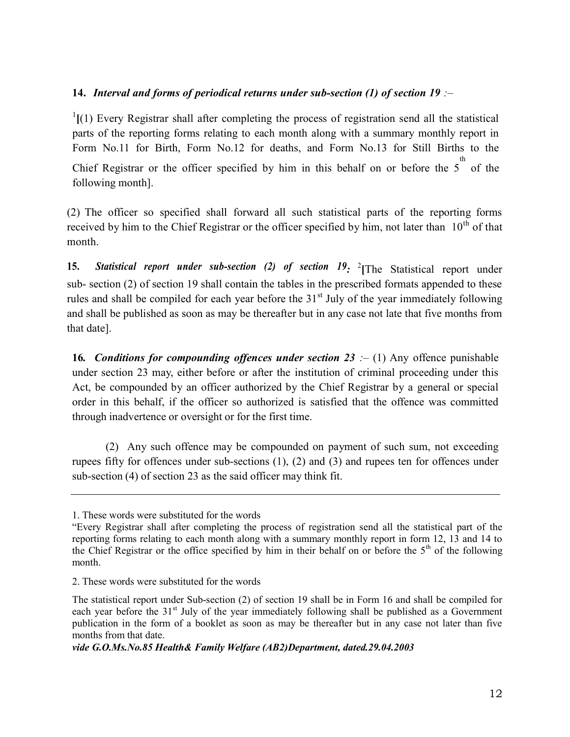## 14. Interval and forms of periodical returns under sub-section  $(1)$  of section  $19 -$

 $1$ [(1) Every Registrar shall after completing the process of registration send all the statistical parts of the reporting forms relating to each month along with a summary monthly report in Form No.11 for Birth, Form No.12 for deaths, and Form No.13 for Still Births to the Chief Registrar or the officer specified by him in this behalf on or before the  $5<sup>th</sup>$  of the following month].

(2) The officer so specified shall forward all such statistical parts of the reporting forms received by him to the Chief Registrar or the officer specified by him, not later than 10<sup>th</sup> of that month.

**15.** Statistical report under sub-section (2) of section 19: <sup>2</sup>[The Statistical report under sub- section (2) of section 19 shall contain the tables in the prescribed formats appended to these rules and shall be compiled for each year before the  $31<sup>st</sup>$  July of the year immediately following and shall be published as soon as may be thereafter but in any case not late that five months from that date].

16. Conditions for compounding offences under section  $23$  :– (1) Any offence punishable under section 23 may, either before or after the institution of criminal proceeding under this Act, be compounded by an officer authorized by the Chief Registrar by a general or special order in this behalf, if the officer so authorized is satisfied that the offence was committed through inadvertence or oversight or for the first time.

(2) Any such offence may be compounded on payment of such sum, not exceeding rupees fifty for offences under sub-sections (1), (2) and (3) and rupees ten for offences under sub-section (4) of section 23 as the said officer may think fit.

vide G.O.Ms.No.85 Health& Family Welfare (AB2)Department, dated.29.04.2003

<sup>1.</sup> These words were substituted for the words

<sup>&</sup>quot;Every Registrar shall after completing the process of registration send all the statistical part of the reporting forms relating to each month along with a summary monthly report in form 12, 13 and 14 to the Chief Registrar or the office specified by him in their behalf on or before the  $5<sup>th</sup>$  of the following month.

<sup>2.</sup> These words were substituted for the words

The statistical report under Sub-section (2) of section 19 shall be in Form 16 and shall be compiled for each year before the 31<sup>st</sup> July of the year immediately following shall be published as a Government publication in the form of a booklet as soon as may be thereafter but in any case not later than five months from that date.